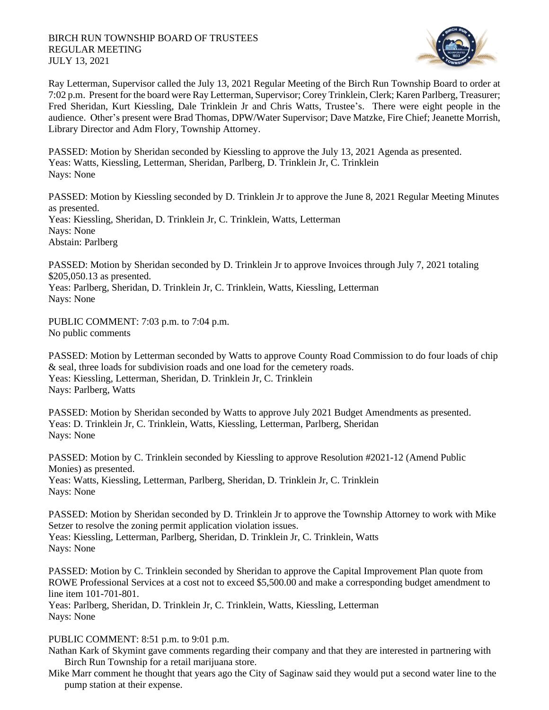

Ray Letterman, Supervisor called the July 13, 2021 Regular Meeting of the Birch Run Township Board to order at 7:02 p.m. Present for the board were Ray Letterman, Supervisor; Corey Trinklein, Clerk; Karen Parlberg, Treasurer; Fred Sheridan, Kurt Kiessling, Dale Trinklein Jr and Chris Watts, Trustee's. There were eight people in the audience. Other's present were Brad Thomas, DPW/Water Supervisor; Dave Matzke, Fire Chief; Jeanette Morrish, Library Director and Adm Flory, Township Attorney.

PASSED: Motion by Sheridan seconded by Kiessling to approve the July 13, 2021 Agenda as presented. Yeas: Watts, Kiessling, Letterman, Sheridan, Parlberg, D. Trinklein Jr, C. Trinklein Nays: None

PASSED: Motion by Kiessling seconded by D. Trinklein Jr to approve the June 8, 2021 Regular Meeting Minutes as presented. Yeas: Kiessling, Sheridan, D. Trinklein Jr, C. Trinklein, Watts, Letterman Nays: None Abstain: Parlberg

PASSED: Motion by Sheridan seconded by D. Trinklein Jr to approve Invoices through July 7, 2021 totaling \$205,050.13 as presented.

Yeas: Parlberg, Sheridan, D. Trinklein Jr, C. Trinklein, Watts, Kiessling, Letterman Nays: None

PUBLIC COMMENT: 7:03 p.m. to 7:04 p.m. No public comments

PASSED: Motion by Letterman seconded by Watts to approve County Road Commission to do four loads of chip & seal, three loads for subdivision roads and one load for the cemetery roads. Yeas: Kiessling, Letterman, Sheridan, D. Trinklein Jr, C. Trinklein Nays: Parlberg, Watts

PASSED: Motion by Sheridan seconded by Watts to approve July 2021 Budget Amendments as presented. Yeas: D. Trinklein Jr, C. Trinklein, Watts, Kiessling, Letterman, Parlberg, Sheridan Nays: None

PASSED: Motion by C. Trinklein seconded by Kiessling to approve Resolution #2021-12 (Amend Public Monies) as presented. Yeas: Watts, Kiessling, Letterman, Parlberg, Sheridan, D. Trinklein Jr, C. Trinklein Nays: None

PASSED: Motion by Sheridan seconded by D. Trinklein Jr to approve the Township Attorney to work with Mike Setzer to resolve the zoning permit application violation issues. Yeas: Kiessling, Letterman, Parlberg, Sheridan, D. Trinklein Jr, C. Trinklein, Watts Nays: None

PASSED: Motion by C. Trinklein seconded by Sheridan to approve the Capital Improvement Plan quote from ROWE Professional Services at a cost not to exceed \$5,500.00 and make a corresponding budget amendment to line item 101-701-801.

Yeas: Parlberg, Sheridan, D. Trinklein Jr, C. Trinklein, Watts, Kiessling, Letterman Nays: None

## PUBLIC COMMENT: 8:51 p.m. to 9:01 p.m.

Nathan Kark of Skymint gave comments regarding their company and that they are interested in partnering with Birch Run Township for a retail marijuana store.

Mike Marr comment he thought that years ago the City of Saginaw said they would put a second water line to the pump station at their expense.